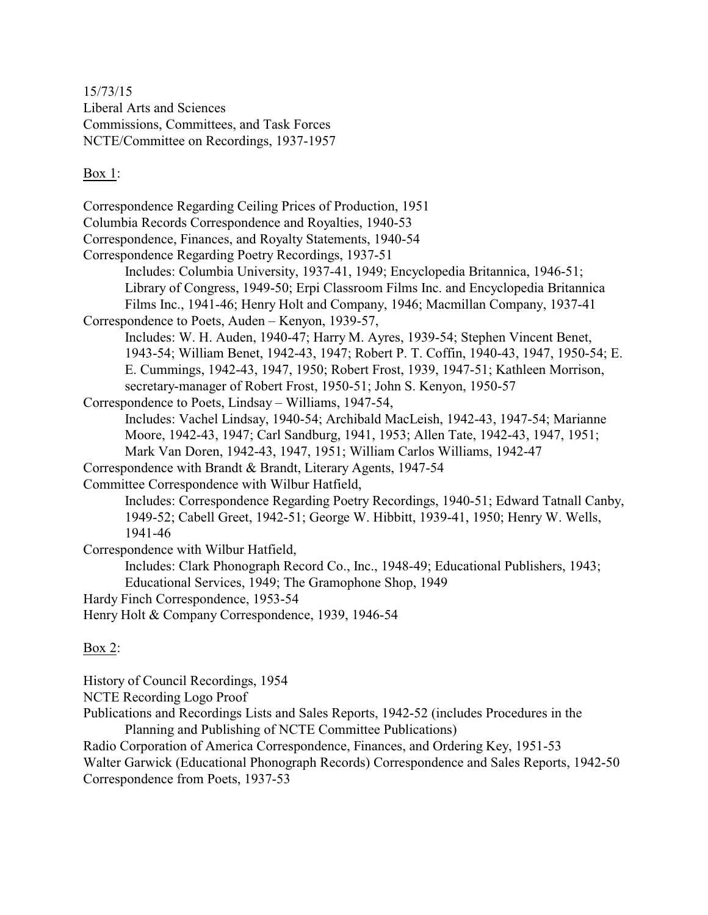15/73/15 Liberal Arts and Sciences Commissions, Committees, and Task Forces NCTE/Committee on Recordings, 1937-1957

## Box 1:

Correspondence Regarding Ceiling Prices of Production, 1951 Columbia Records Correspondence and Royalties, 1940-53 Correspondence, Finances, and Royalty Statements, 1940-54 Correspondence Regarding Poetry Recordings, 1937-51 Includes: Columbia University, 1937-41, 1949; Encyclopedia Britannica, 1946-51; Library of Congress, 1949-50; Erpi Classroom Films Inc. and Encyclopedia Britannica Films Inc., 1941-46; Henry Holt and Company, 1946; Macmillan Company, 1937-41 Correspondence to Poets, Auden – Kenyon, 1939-57, Includes: W. H. Auden, 1940-47; Harry M. Ayres, 1939-54; Stephen Vincent Benet, 1943-54; William Benet, 1942-43, 1947; Robert P. T. Coffin, 1940-43, 1947, 1950-54; E. E. Cummings, 1942-43, 1947, 1950; Robert Frost, 1939, 1947-51; Kathleen Morrison, secretary-manager of Robert Frost, 1950-51; John S. Kenyon, 1950-57 Correspondence to Poets, Lindsay – Williams, 1947-54, Includes: Vachel Lindsay, 1940-54; Archibald MacLeish, 1942-43, 1947-54; Marianne Moore, 1942-43, 1947; Carl Sandburg, 1941, 1953; Allen Tate, 1942-43, 1947, 1951; Mark Van Doren, 1942-43, 1947, 1951; William Carlos Williams, 1942-47 Correspondence with Brandt & Brandt, Literary Agents, 1947-54 Committee Correspondence with Wilbur Hatfield, Includes: Correspondence Regarding Poetry Recordings, 1940-51; Edward Tatnall Canby, 1949-52; Cabell Greet, 1942-51; George W. Hibbitt, 1939-41, 1950; Henry W. Wells, 1941-46 Correspondence with Wilbur Hatfield, Includes: Clark Phonograph Record Co., Inc., 1948-49; Educational Publishers, 1943; Educational Services, 1949; The Gramophone Shop, 1949 Hardy Finch Correspondence, 1953-54 Henry Holt & Company Correspondence, 1939, 1946-54

## Box 2:

History of Council Recordings, 1954

NCTE Recording Logo Proof

Publications and Recordings Lists and Sales Reports, 1942-52 (includes Procedures in the Planning and Publishing of NCTE Committee Publications)

Radio Corporation of America Correspondence, Finances, and Ordering Key, 1951-53 Walter Garwick (Educational Phonograph Records) Correspondence and Sales Reports, 1942-50 Correspondence from Poets, 1937-53